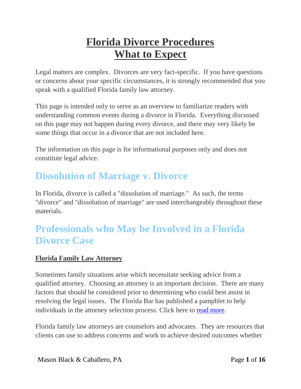# **Florida Divorce Procedures What to Expect**

Legal matters are complex. Divorces are very fact-specific. If you have questions or concerns about your specific circumstances, it is strongly recommended that you speak with a qualified Florida family law attorney.

This page is intended only to serve as an overview to familiarize readers with understanding common events during a divorce in Florida. Everything discussed on this page may not happen during every divorce, and there may very likely be some things that occur in a divorce that are not included here.

The information on this page is for informational purposes only and does not constitute legal advice.

### **Dissolution of Marriage v. Divorce**

In Florida, divorce is called a "dissolution of marriage." As such, the terms "divorce" and "dissolution of marriage" are used interchangeably throughout these materials.

### **Professionals who May be Involved in a Florida Divorce Case**

### **Florida Family Law Attorney**

Sometimes family situations arise which necessitate seeking advice from a qualified attorney. Choosing an attorney is an important decision. There are many factors that should be considered prior to determining who could best assist in resolving the legal issues. The Florida Bar has published a pamphlet to help individuals in the attorney selection process. Click here to [read more.](http://www.mbc-lawoffice.com/how-to-find-a-lawyer-in-florida/)

Florida family law attorneys are counselors and advocates. They are resources that clients can use to address concerns and work to achieve desired outcomes whether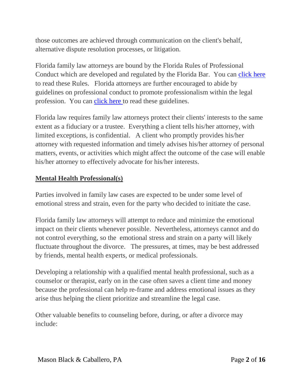those outcomes are achieved through communication on the client's behalf, alternative dispute resolution processes, or litigation.

Florida family law attorneys are bound by the Florida Rules of Professional Conduct which are developed and regulated by the Florida Bar. You can [click here](http://www.floridabar.org/divexe/rrtfb.nsf/WContents?OpenView) to read these Rules. Florida attorneys are further encouraged to abide by guidelines on professional conduct to promote professionalism within the legal profession. You can [click here t](https://www.floridabar.org/tfb/TFBProfess.nsf/840090c16eedaf0085256b61000928dc/2f2668cdfd7b99e085256b2f006ccd15?OpenDocument)o read these guidelines.

Florida law requires family law attorneys protect their clients' interests to the same extent as a fiduciary or a trustee. Everything a client tells his/her attorney, with limited exceptions, is confidential. A client who promptly provides his/her attorney with requested information and timely advises his/her attorney of personal matters, events, or activities which might affect the outcome of the case will enable his/her attorney to effectively advocate for his/her interests.

#### **Mental Health Professional(s)**

Parties involved in family law cases are expected to be under some level of emotional stress and strain, even for the party who decided to initiate the case.

Florida family law attorneys will attempt to reduce and minimize the emotional impact on their clients whenever possible. Nevertheless, attorneys cannot and do not control everything, so the emotional stress and strain on a party will likely fluctuate throughout the divorce. The pressures, at times, may be best addressed by friends, mental health experts, or medical professionals.

Developing a relationship with a qualified mental health professional, such as a counselor or therapist, early on in the case often saves a client time and money because the professional can help re-frame and address emotional issues as they arise thus helping the client prioritize and streamline the legal case.

Other valuable benefits to counseling before, during, or after a divorce may include: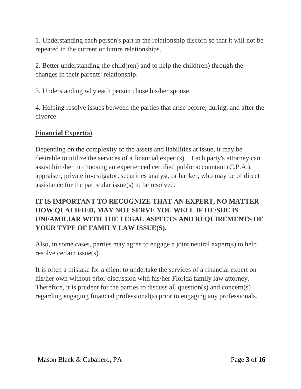1. Understanding each person's part in the relationship discord so that it will not be repeated in the current or future relationships.

2. Better understanding the child(ren) and to help the child(ren) through the changes in their parents' relationship.

3. Understanding why each person chose his/her spouse.

4. Helping resolve issues between the parties that arise before, during, and after the divorce.

### **Financial Expert(s)**

Depending on the complexity of the assets and liabilities at issue, it may be desirable to utilize the services of a financial expert(s). Each party's attorney can assist him/her in choosing an experienced certified public accountant (C.P.A.), appraiser, private investigator, securities analyst, or banker, who may be of direct assistance for the particular issue(s) to be resolved.

### **IT IS IMPORTANT TO RECOGNIZE THAT AN EXPERT, NO MATTER HOW QUALIFIED, MAY NOT SERVE YOU WELL IF HE/SHE IS UNFAMILIAR WITH THE LEGAL ASPECTS AND REQUIREMENTS OF YOUR TYPE OF FAMILY LAW ISSUE(S).**

Also, in some cases, parties may agree to engage a joint neutral expert(s) to help resolve certain issue(s).

It is often a mistake for a client to undertake the services of a financial expert on his/her own without prior discussion with his/her Florida family law attorney. Therefore, it is prudent for the parties to discuss all question(s) and concern(s) regarding engaging financial professional(s) prior to engaging any professionals.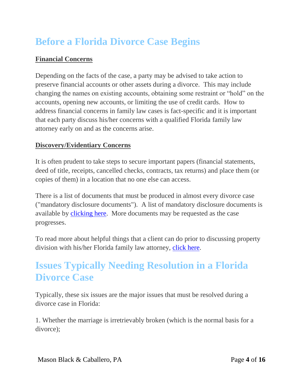## **Before a Florida Divorce Case Begins**

### **Financial Concerns**

Depending on the facts of the case, a party may be advised to take action to preserve financial accounts or other assets during a divorce. This may include changing the names on existing accounts, obtaining some restraint or "hold" on the accounts, opening new accounts, or limiting the use of credit cards. How to address financial concerns in family law cases is fact-specific and it is important that each party discuss his/her concerns with a qualified Florida family law attorney early on and as the concerns arise.

### **Discovery/Evidentiary Concerns**

It is often prudent to take steps to secure important papers (financial statements, deed of title, receipts, cancelled checks, contracts, tax returns) and place them (or copies of them) in a location that no one else can access.

There is a list of documents that must be produced in almost every divorce case ("mandatory disclosure documents"). A list of mandatory disclosure documents is available by [clicking here.](http://www.mbc-lawoffice.com/wp-content/uploads/2014/01/Florida-Mandatory-Disclosure-2012.pdf) More documents may be requested as the case progresses.

To read more about helpful things that a client can do prior to discussing property division with his/her Florida family law attorney, [click here.](http://www.mbc-lawoffice.com/helpful-information-for-discussing-property-division-with-your-florida-family-law-attorney/)

### **Issues Typically Needing Resolution in a Florida Divorce Case**

Typically, these six issues are the major issues that must be resolved during a divorce case in Florida:

1. Whether the marriage is irretrievably broken (which is the normal basis for a divorce);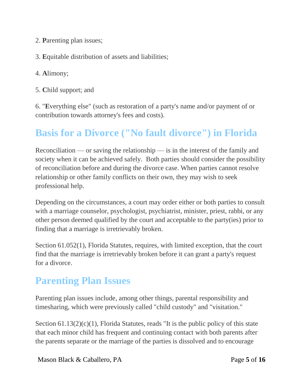- 2. **P**arenting plan issues;
- 3. **E**quitable distribution of assets and liabilities;
- 4. **A**limony;
- 5. **C**hild support; and

6. "**E**verything else" (such as restoration of a party's name and/or payment of or contribution towards attorney's fees and costs).

## **Basis for a Divorce ("No fault divorce") in Florida**

Reconciliation — or saving the relationship — is in the interest of the family and society when it can be achieved safely. Both parties should consider the possibility of reconciliation before and during the divorce case. When parties cannot resolve relationship or other family conflicts on their own, they may wish to seek professional help.

Depending on the circumstances, a court may order either or both parties to consult with a marriage counselor, psychologist, psychiatrist, minister, priest, rabbi, or any other person deemed qualified by the court and acceptable to the party(ies) prior to finding that a marriage is irretrievably broken.

Section 61.052(1), Florida Statutes, requires, with limited exception, that the court find that the marriage is irretrievably broken before it can grant a party's request for a divorce.

### **Parenting Plan Issues**

Parenting plan issues include, among other things, parental responsibility and timesharing, which were previously called "child custody" and "visitation."

Section 61.13(2)(c)(1), Florida Statutes, reads "It is the public policy of this state that each minor child has frequent and continuing contact with both parents after the parents separate or the marriage of the parties is dissolved and to encourage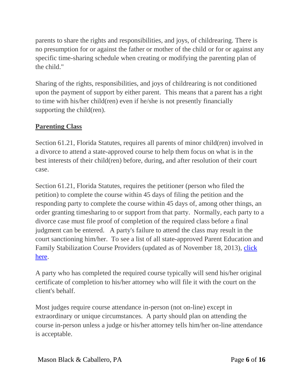parents to share the rights and responsibilities, and joys, of childrearing. There is no presumption for or against the father or mother of the child or for or against any specific time-sharing schedule when creating or modifying the parenting plan of the child."

Sharing of the rights, responsibilities, and joys of childrearing is not conditioned upon the payment of support by either parent. This means that a parent has a right to time with his/her child(ren) even if he/she is not presently financially supporting the child(ren).

### **Parenting Class**

Section 61.21, Florida Statutes, requires all parents of minor child(ren) involved in a divorce to attend a state-approved course to help them focus on what is in the best interests of their child(ren) before, during, and after resolution of their court case.

Section 61.21, Florida Statutes, requires the petitioner (person who filed the petition) to complete the course within 45 days of filing the petition and the responding party to complete the course within 45 days of, among other things, an order granting timesharing to or support from that party. Normally, each party to a divorce case must file proof of completion of the required class before a final judgment can be entered. A party's failure to attend the class may result in the court sanctioning him/her. To see a list of all state-approved Parent Education and Family Stabilization Course Providers (updated as of November 18, 2013), [click](http://www.mbc-lawoffice.com/wp-content/uploads/2014/01/Florida-Parent-Family-Stabilization-Classes.pdf)  [here.](http://www.mbc-lawoffice.com/wp-content/uploads/2014/01/Florida-Parent-Family-Stabilization-Classes.pdf)

A party who has completed the required course typically will send his/her original certificate of completion to his/her attorney who will file it with the court on the client's behalf.

Most judges require course attendance in-person (not on-line) except in extraordinary or unique circumstances. A party should plan on attending the course in-person unless a judge or his/her attorney tells him/her on-line attendance is acceptable.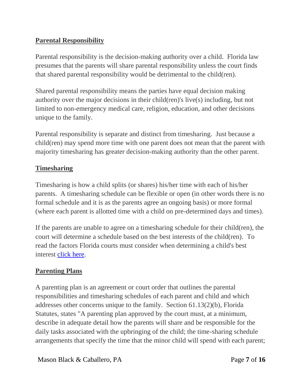### **Parental Responsibility**

Parental responsibility is the decision-making authority over a child. Florida law presumes that the parents will share parental responsibility unless the court finds that shared parental responsibility would be detrimental to the child(ren).

Shared parental responsibility means the parties have equal decision making authority over the major decisions in their child(ren)'s live(s) including, but not limited to non-emergency medical care, religion, education, and other decisions unique to the family.

Parental responsibility is separate and distinct from timesharing. Just because a child(ren) may spend more time with one parent does not mean that the parent with majority timesharing has greater decision-making authority than the other parent.

### **Timesharing**

Timesharing is how a child splits (or shares) his/her time with each of his/her parents. A timesharing schedule can be flexible or open (in other words there is no formal schedule and it is as the parents agree an ongoing basis) or more formal (where each parent is allotted time with a child on pre-determined days and times).

If the parents are unable to agree on a timesharing schedule for their child(ren), the court will determine a schedule based on the best interests of the child(ren). To read the factors Florida courts must consider when determining a child's best interest [click here.](http://www.mbc-lawoffice.com/wp-content/uploads/2014/01/Florida-Factors-for-Best-Interests-of-the-Child.pdf)

### **Parenting Plans**

A parenting plan is an agreement or court order that outlines the parental responsibilities and timesharing schedules of each parent and child and which addresses other concerns unique to the family. Section 61.13(2)(b), Florida Statutes, states "A parenting plan approved by the court must, at a minimum, describe in adequate detail how the parents will share and be responsible for the daily tasks associated with the upbringing of the child; the time-sharing schedule arrangements that specify the time that the minor child will spend with each parent;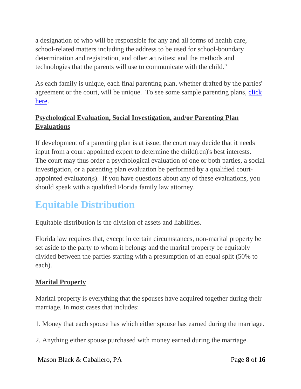a designation of who will be responsible for any and all forms of health care, school-related matters including the address to be used for school-boundary determination and registration, and other activities; and the methods and technologies that the parents will use to communicate with the child."

As each family is unique, each final parenting plan, whether drafted by the parties' agreement or the court, will be unique. To see some sample parenting plans, click [here.](http://www.mbc-lawoffice.com/forms)

### **Psychological Evaluation, Social Investigation, and/or Parenting Plan Evaluations**

If development of a parenting plan is at issue, the court may decide that it needs input from a court appointed expert to determine the child(ren)'s best interests. The court may thus order a psychological evaluation of one or both parties, a social investigation, or a parenting plan evaluation be performed by a qualified courtappointed evaluator(s). If you have questions about any of these evaluations, you should speak with a qualified Florida family law attorney.

## **Equitable Distribution**

Equitable distribution is the division of assets and liabilities.

Florida law requires that, except in certain circumstances, non-marital property be set aside to the party to whom it belongs and the marital property be equitably divided between the parties starting with a presumption of an equal split (50% to each).

### **Marital Property**

Marital property is everything that the spouses have acquired together during their marriage. In most cases that includes:

1. Money that each spouse has which either spouse has earned during the marriage.

2. Anything either spouse purchased with money earned during the marriage.

Mason Black & Caballero, PA Page 8 of 16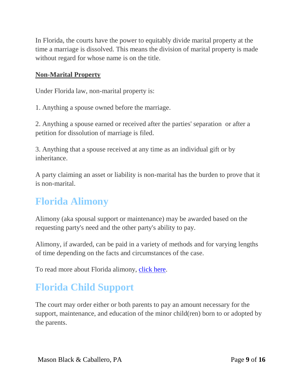In Florida, the courts have the power to equitably divide marital property at the time a marriage is dissolved. This means the division of marital property is made without regard for whose name is on the title.

#### **Non-Marital Property**

Under Florida law, non-marital property is:

1. Anything a spouse owned before the marriage.

2. Anything a spouse earned or received after the parties' separation or after a petition for dissolution of marriage is filed.

3. Anything that a spouse received at any time as an individual gift or by inheritance.

A party claiming an asset or liability is non-marital has the burden to prove that it is non-marital.

### **Florida Alimony**

Alimony (aka spousal support or maintenance) may be awarded based on the requesting party's need and the other party's ability to pay.

Alimony, if awarded, can be paid in a variety of methods and for varying lengths of time depending on the facts and circumstances of the case.

To read more about Florida alimony, [click here.](http://www.mbc-lawoffice.com/florida-alimony/)

## **Florida Child Support**

The court may order either or both parents to pay an amount necessary for the support, maintenance, and education of the minor child(ren) born to or adopted by the parents.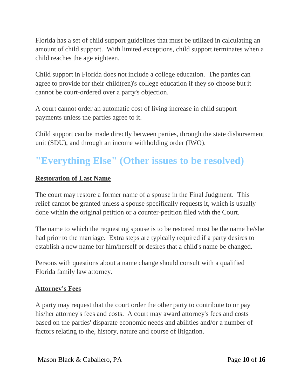Florida has a set of child support guidelines that must be utilized in calculating an amount of child support. With limited exceptions, child support terminates when a child reaches the age eighteen.

Child support in Florida does not include a college education. The parties can agree to provide for their child(ren)'s college education if they so choose but it cannot be court-ordered over a party's objection.

A court cannot order an automatic cost of living increase in child support payments unless the parties agree to it.

Child support can be made directly between parties, through the state disbursement unit (SDU), and through an income withholding order (IWO).

### **"Everything Else" (Other issues to be resolved)**

#### **Restoration of Last Name**

The court may restore a former name of a spouse in the Final Judgment. This relief cannot be granted unless a spouse specifically requests it, which is usually done within the original petition or a counter-petition filed with the Court.

The name to which the requesting spouse is to be restored must be the name he/she had prior to the marriage. Extra steps are typically required if a party desires to establish a new name for him/herself or desires that a child's name be changed.

Persons with questions about a name change should consult with a qualified Florida family law attorney.

#### **Attorney's Fees**

A party may request that the court order the other party to contribute to or pay his/her attorney's fees and costs. A court may award attorney's fees and costs based on the parties' disparate economic needs and abilities and/or a number of factors relating to the, history, nature and course of litigation.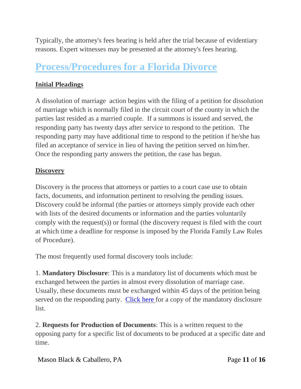Typically, the attorney's fees hearing is held after the trial because of evidentiary reasons. Expert witnesses may be presented at the attorney's fees hearing.

### **Process/Procedures for a Florida Divorce**

### **Initial Pleadings**

A dissolution of marriage action begins with the filing of a petition for dissolution of marriage which is normally filed in the circuit court of the county in which the parties last resided as a married couple. If a summons is issued and served, the responding party has twenty days after service to respond to the petition. The responding party may have additional time to respond to the petition if he/she has filed an acceptance of service in lieu of having the petition served on him/her. Once the responding party answers the petition, the case has begun.

### **Discovery**

Discovery is the process that attorneys or parties to a court case use to obtain facts, documents, and information pertinent to resolving the pending issues. Discovery could be informal (the parties or attorneys simply provide each other with lists of the desired documents or information and the parties voluntarily comply with the request(s)) or formal (the discovery request is filed with the court at which time a deadline for response is imposed by the Florida Family Law Rules of Procedure).

The most frequently used formal discovery tools include:

1. **Mandatory Disclosure**: This is a mandatory list of documents which must be exchanged between the parties in almost every dissolution of marriage case. Usually, these documents must be exchanged within 45 days of the petition being served on the responding party. [Click here f](http://www.mbc-lawoffice.com/wp-content/uploads/2014/01/Florida-Mandatory-Disclosure-2012.pdf)or a copy of the mandatory disclosure list.

2. **Requests for Production of Documents**: This is a written request to the opposing party for a specific list of documents to be produced at a specific date and time.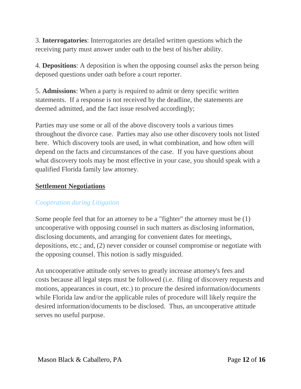3. **Interrogatories**: Interrogatories are detailed written questions which the receiving party must answer under oath to the best of his/her ability.

4. **Depositions**: A deposition is when the opposing counsel asks the person being deposed questions under oath before a court reporter.

5. **Admissions**: When a party is required to admit or deny specific written statements. If a response is not received by the deadline, the statements are deemed admitted, and the fact issue resolved accordingly;

Parties may use some or all of the above discovery tools a various times throughout the divorce case. Parties may also use other discovery tools not listed here. Which discovery tools are used, in what combination, and how often will depend on the facts and circumstances of the case. If you have questions about what discovery tools may be most effective in your case, you should speak with a qualified Florida family law attorney.

#### **Settlement Negotiations**

#### *Cooperation during Litigation*

Some people feel that for an attorney to be a "fighter" the attorney must be (1) uncooperative with opposing counsel in such matters as disclosing information, disclosing documents, and arranging for convenient dates for meetings, depositions, etc.; and, (2) never consider or counsel compromise or negotiate with the opposing counsel. This notion is sadly misguided.

An uncooperative attitude only serves to greatly increase attorney's fees and costs because all legal steps must be followed (i.e. filing of discovery requests and motions, appearances in court, etc.) to procure the desired information/documents while Florida law and/or the applicable rules of procedure will likely require the desired information/documents to be disclosed. Thus, an uncooperative attitude serves no useful purpose.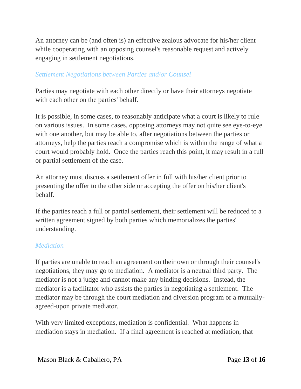An attorney can be (and often is) an effective zealous advocate for his/her client while cooperating with an opposing counsel's reasonable request and actively engaging in settlement negotiations.

#### *Settlement Negotiations between Parties and/or Counsel*

Parties may negotiate with each other directly or have their attorneys negotiate with each other on the parties' behalf.

It is possible, in some cases, to reasonably anticipate what a court is likely to rule on various issues. In some cases, opposing attorneys may not quite see eye-to-eye with one another, but may be able to, after negotiations between the parties or attorneys, help the parties reach a compromise which is within the range of what a court would probably hold. Once the parties reach this point, it may result in a full or partial settlement of the case.

An attorney must discuss a settlement offer in full with his/her client prior to presenting the offer to the other side or accepting the offer on his/her client's behalf.

If the parties reach a full or partial settlement, their settlement will be reduced to a written agreement signed by both parties which memorializes the parties' understanding.

#### *Mediation*

If parties are unable to reach an agreement on their own or through their counsel's negotiations, they may go to mediation. A mediator is a neutral third party. The mediator is not a judge and cannot make any binding decisions. Instead, the mediator is a facilitator who assists the parties in negotiating a settlement. The mediator may be through the court mediation and diversion program or a mutuallyagreed-upon private mediator.

With very limited exceptions, mediation is confidential. What happens in mediation stays in mediation. If a final agreement is reached at mediation, that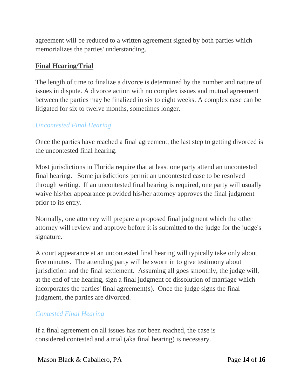agreement will be reduced to a written agreement signed by both parties which memorializes the parties' understanding.

#### **Final Hearing/Trial**

The length of time to finalize a divorce is determined by the number and nature of issues in dispute. A divorce action with no complex issues and mutual agreement between the parties may be finalized in six to eight weeks. A complex case can be litigated for six to twelve months, sometimes longer.

#### *Uncontested Final Hearing*

Once the parties have reached a final agreement, the last step to getting divorced is the uncontested final hearing.

Most jurisdictions in Florida require that at least one party attend an uncontested final hearing. Some jurisdictions permit an uncontested case to be resolved through writing. If an uncontested final hearing is required, one party will usually waive his/her appearance provided his/her attorney approves the final judgment prior to its entry.

Normally, one attorney will prepare a proposed final judgment which the other attorney will review and approve before it is submitted to the judge for the judge's signature.

A court appearance at an uncontested final hearing will typically take only about five minutes. The attending party will be sworn in to give testimony about jurisdiction and the final settlement. Assuming all goes smoothly, the judge will, at the end of the hearing, sign a final judgment of dissolution of marriage which incorporates the parties' final agreement(s). Once the judge signs the final judgment, the parties are divorced.

#### *Contested Final Hearing*

If a final agreement on all issues has not been reached, the case is considered contested and a trial (aka final hearing) is necessary.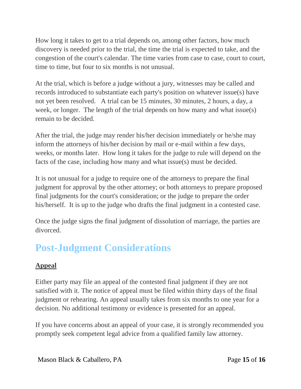How long it takes to get to a trial depends on, among other factors, how much discovery is needed prior to the trial, the time the trial is expected to take, and the congestion of the court's calendar. The time varies from case to case, court to court, time to time, but four to six months is not unusual.

At the trial, which is before a judge without a jury, witnesses may be called and records introduced to substantiate each party's position on whatever issue(s) have not yet been resolved. A trial can be 15 minutes, 30 minutes, 2 hours, a day, a week, or longer. The length of the trial depends on how many and what issue(s) remain to be decided.

After the trial, the judge may render his/her decision immediately or he/she may inform the attorneys of his/her decision by mail or e-mail within a few days, weeks, or months later. How long it takes for the judge to rule will depend on the facts of the case, including how many and what issue(s) must be decided.

It is not unusual for a judge to require one of the attorneys to prepare the final judgment for approval by the other attorney; or both attorneys to prepare proposed final judgments for the court's consideration; or the judge to prepare the order his/herself. It is up to the judge who drafts the final judgment in a contested case.

Once the judge signs the final judgment of dissolution of marriage, the parties are divorced.

## **Post-Judgment Considerations**

### **Appeal**

Either party may file an appeal of the contested final judgment if they are not satisfied with it. The notice of appeal must be filed within thirty days of the final judgment or rehearing. An appeal usually takes from six months to one year for a decision. No additional testimony or evidence is presented for an appeal.

If you have concerns about an appeal of your case, it is strongly recommended you promptly seek competent legal advice from a qualified family law attorney.